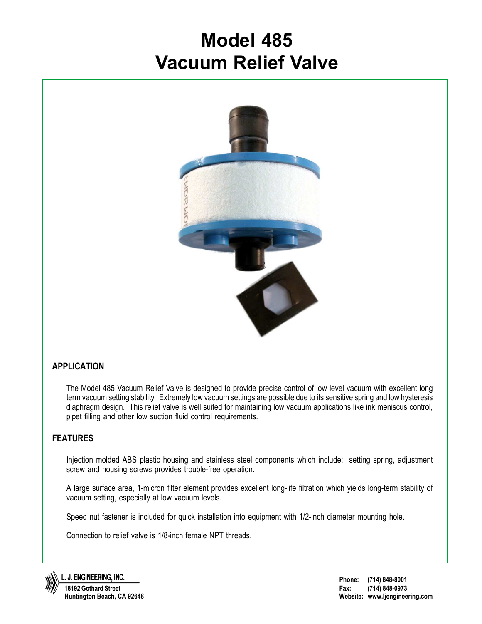# **Model 485 Vacuum Relief Valve**



### **APPLICATION**

The Model 485 Vacuum Relief Valve is designed to provide precise control of low level vacuum with excellent long term vacuum setting stability. Extremely low vacuum settings are possible due to its sensitive spring and low hysteresis diaphragm design. This relief valve is well suited for maintaining low vacuum applications like ink meniscus control, pipet filling and other low suction fluid control requirements.

### **FEATURES**

Injection molded ABS plastic housing and stainless steel components which include: setting spring, adjustment screw and housing screws provides trouble-free operation.

A large surface area, 1-micron filter element provides excellent long-life filtration which yields long-term stability of vacuum setting, especially at low vacuum levels.

Speed nut fastener is included for quick installation into equipment with 1/2-inch diameter mounting hole.

Connection to relief valve is 1/8-inch female NPT threads.